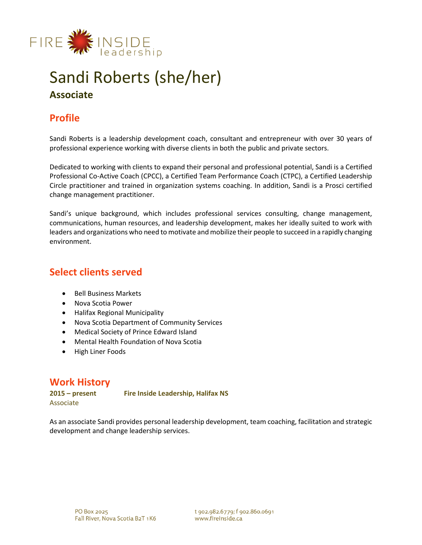

# Sandi Roberts (she/her) **Associate**

# **Profile**

Sandi Roberts is a leadership development coach, consultant and entrepreneur with over 30 years of professional experience working with diverse clients in both the public and private sectors.

Dedicated to working with clients to expand their personal and professional potential, Sandi is a Certified Professional Co-Active Coach (CPCC), a Certified Team Performance Coach (CTPC), a Certified Leadership Circle practitioner and trained in organization systems coaching. In addition, Sandi is a Prosci certified change management practitioner.

Sandi's unique background, which includes professional services consulting, change management, communications, human resources, and leadership development, makes her ideally suited to work with leaders and organizations who need to motivate and mobilize their people to succeed in a rapidly changing environment.

### **Select clients served**

- Bell Business Markets
- Nova Scotia Power
- Halifax Regional Municipality
- Nova Scotia Department of Community Services
- Medical Society of Prince Edward Island
- Mental Health Foundation of Nova Scotia
- High Liner Foods

### **Work History**

Associate

**2015 – present Fire Inside Leadership, Halifax NS** 

As an associate Sandi provides personal leadership development, team coaching, facilitation and strategic development and change leadership services.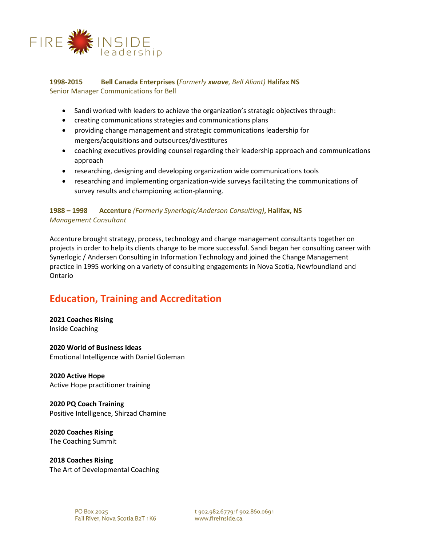

### **1998-2015 Bell Canada Enterprises (***Formerly xwave, Bell Aliant)* **Halifax NS** Senior Manager Communications for Bell

- Sandi worked with leaders to achieve the organization's strategic objectives through:
- creating communications strategies and communications plans
- providing change management and strategic communications leadership for mergers/acquisitions and outsources/divestitures
- coaching executives providing counsel regarding their leadership approach and communications approach
- researching, designing and developing organization wide communications tools
- researching and implementing organization-wide surveys facilitating the communications of survey results and championing action-planning.

### **1988 – 1998 Accenture** *(Formerly Synerlogic/Anderson Consulting)***, Halifax, NS** *Management Consultant*

Accenture brought strategy, process, technology and change management consultants together on projects in order to help its clients change to be more successful. Sandi began her consulting career with Synerlogic / Andersen Consulting in Information Technology and joined the Change Management practice in 1995 working on a variety of consulting engagements in Nova Scotia, Newfoundland and Ontario

# **Education, Training and Accreditation**

### **2021 Coaches Rising** Inside Coaching

#### **2020 World of Business Ideas** Emotional Intelligence with Daniel Goleman

**2020 Active Hope** Active Hope practitioner training

**2020 PQ Coach Training** Positive Intelligence, Shirzad Chamine

**2020 Coaches Rising** The Coaching Summit

**2018 Coaches Rising** The Art of Developmental Coaching